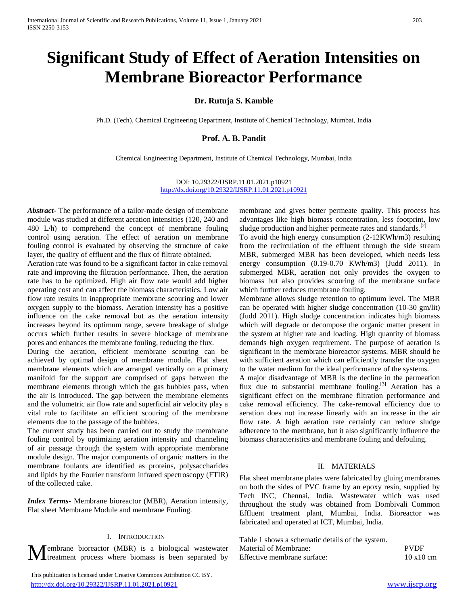# **Significant Study of Effect of Aeration Intensities on Membrane Bioreactor Performance**

**Dr. Rutuja S. Kamble**

Ph.D. (Tech), Chemical Engineering Department, Institute of Chemical Technology, Mumbai, India

# **Prof. A. B. Pandit**

Chemical Engineering Department, Institute of Chemical Technology, Mumbai, India

DOI: 10.29322/IJSRP.11.01.2021.p10921 <http://dx.doi.org/10.29322/IJSRP.11.01.2021.p10921>

*Abstract***-** The performance of a tailor-made design of membrane module was studied at different aeration intensities (120, 240 and 480 L/h) to comprehend the concept of membrane fouling control using aeration. The effect of aeration on membrane fouling control is evaluated by observing the structure of cake layer, the quality of effluent and the flux of filtrate obtained.

Aeration rate was found to be a significant factor in cake removal rate and improving the filtration performance. Then, the aeration rate has to be optimized. High air flow rate would add higher operating cost and can affect the biomass characteristics. Low air flow rate results in inappropriate membrane scouring and lower oxygen supply to the biomass. Aeration intensity has a positive influence on the cake removal but as the aeration intensity increases beyond its optimum range, severe breakage of sludge occurs which further results in severe blockage of membrane pores and enhances the membrane fouling, reducing the flux.

During the aeration, efficient membrane scouring can be achieved by optimal design of membrane module. Flat sheet membrane elements which are arranged vertically on a primary manifold for the support are comprised of gaps between the membrane elements through which the gas bubbles pass, when the air is introduced. The gap between the membrane elements and the volumetric air flow rate and superficial air velocity play a vital role to facilitate an efficient scouring of the membrane elements due to the passage of the bubbles.

The current study has been carried out to study the membrane fouling control by optimizing aeration intensity and channeling of air passage through the system with appropriate membrane module design. The major components of organic matters in the membrane foulants are identified as proteins, polysaccharides and lipids by the Fourier transform infrared spectroscopy (FTIR) of the collected cake.

*Index Terms*- Membrane bioreactor (MBR), Aeration intensity, Flat sheet Membrane Module and membrane Fouling.

#### I. INTRODUCTION

 This publication is licensed under Creative Commons Attribution CC BY. <http://dx.doi.org/10.29322/IJSRP.11.01.2021.p10921> [www.ijsrp.org](http://ijsrp.org/)

membrane and gives better permeate quality. This process has advantages like high biomass concentration, less footprint, low sludge production and higher permeate rates and standards.<sup>[2]</sup>

To avoid the high energy consumption (2-12KWh/m3) resulting from the recirculation of the effluent through the side stream MBR, submerged MBR has been developed, which needs less energy consumption (0.19-0.70 KWh/m3) (Judd 2011). In submerged MBR, aeration not only provides the oxygen to biomass but also provides scouring of the membrane surface which further reduces membrane fouling.

Membrane allows sludge retention to optimum level. The MBR can be operated with higher sludge concentration (10-30 gm/lit) (Judd 2011). High sludge concentration indicates high biomass which will degrade or decompose the organic matter present in the system at higher rate and loading. High quantity of biomass demands high oxygen requirement. The purpose of aeration is significant in the membrane bioreactor systems. MBR should be with sufficient aeration which can efficiently transfer the oxygen to the water medium for the ideal performance of the systems.

A major disadvantage of MBR is the decline in the permeation flux due to substantial membrane fouling. $\left[3\right]$  Aeration has a significant effect on the membrane filtration performance and cake removal efficiency. The cake-removal efficiency due to aeration does not increase linearly with an increase in the air flow rate. A high aeration rate certainly can reduce sludge adherence to the membrane, but it also significantly influence the biomass characteristics and membrane fouling and defouling.

# II. MATERIALS

Flat sheet membrane plates were fabricated by gluing membranes on both the sides of PVC frame by an epoxy resin, supplied by Tech INC, Chennai, India. Wastewater which was used throughout the study was obtained from Dombivali Common Effluent treatment plant, Mumbai, India. Bioreactor was fabricated and operated at ICT, Mumbai, India.

| L. INTRODUCTION                                                                                                                                                  | Table 1 shows a schematic details of the system. |             |
|------------------------------------------------------------------------------------------------------------------------------------------------------------------|--------------------------------------------------|-------------|
|                                                                                                                                                                  |                                                  | <b>PVDF</b> |
| Membrane bioreactor (MBR) is a biological wastewater Material of Membrane:<br>Interatment process where biomass is been separated by Effective membrane surface: |                                                  | 10x10cm     |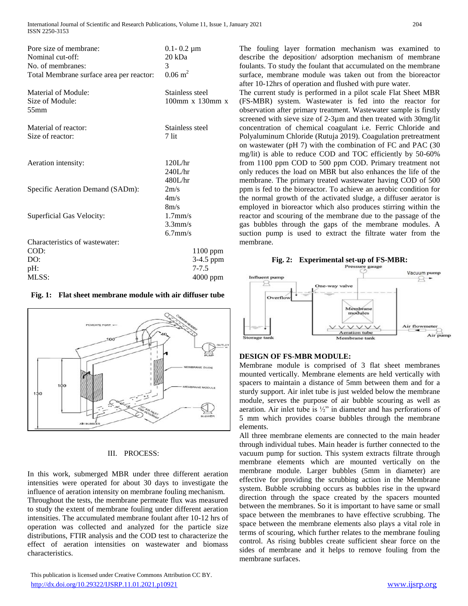| Pore size of membrane:<br>Nominal cut-off:<br>No. of membranes:<br>Total Membrane surface area per reactor: | $0.1 - 0.2 \mu m$<br>$20$ kDa<br>3<br>$0.06 \text{ m}^2$ |
|-------------------------------------------------------------------------------------------------------------|----------------------------------------------------------|
| Material of Module:<br>Size of Module:<br>$55$ mm                                                           | Stainless steel<br>$100$ mm x $130$ mm x                 |
| Material of reactor:<br>Size of reactor:                                                                    | Stainless steel<br>$7$ lit                               |
| Aeration intensity:                                                                                         | 120L/hr<br>240L/hr<br>480L/hr                            |
| Specific Aeration Demand (SADm):                                                                            | 2m/s<br>4m/s<br>8m/s                                     |
| Superficial Gas Velocity:                                                                                   | $1.7$ mm/s<br>$3.3$ mm/s<br>$6.7$ mm/s                   |
| Characteristics of wastewater:                                                                              |                                                          |
| COD:                                                                                                        | $1100$ ppm                                               |
| DO:                                                                                                         | 3-4.5 ppm                                                |
| pH:                                                                                                         | $7 - 7.5$                                                |
| MLSS:                                                                                                       | $4000$ ppm                                               |

# **Fig. 1: Flat sheet membrane module with air diffuser tube**



#### III. PROCESS:

In this work, submerged MBR under three different aeration intensities were operated for about 30 days to investigate the influence of aeration intensity on membrane fouling mechanism. Throughout the tests, the membrane permeate flux was measured to study the extent of membrane fouling under different aeration intensities. The accumulated membrane foulant after 10-12 hrs of operation was collected and analyzed for the particle size distributions, FTIR analysis and the COD test to characterize the effect of aeration intensities on wastewater and biomass characteristics.

 This publication is licensed under Creative Commons Attribution CC BY. <http://dx.doi.org/10.29322/IJSRP.11.01.2021.p10921> [www.ijsrp.org](http://ijsrp.org/)

The fouling layer formation mechanism was examined to describe the deposition/ adsorption mechanism of membrane foulants. To study the foulant that accumulated on the membrane surface, membrane module was taken out from the bioreactor after 10-12hrs of operation and flushed with pure water.

The current study is performed in a pilot scale Flat Sheet MBR (FS-MBR) system. Wastewater is fed into the reactor for observation after primary treatment. Wastewater sample is firstly screened with sieve size of 2-3µm and then treated with 30mg/lit concentration of chemical coagulant i.e. Ferric Chloride and Polyaluminum Chloride (Rutuja 2019). Coagulation pretreatment on wastewater (pH 7) with the combination of FC and PAC (30 mg/lit) is able to reduce COD and TOC efficiently by 50-60% from 1100 ppm COD to 500 ppm COD. Primary treatment not only reduces the load on MBR but also enhances the life of the membrane. The primary treated wastewater having COD of 500 ppm is fed to the bioreactor. To achieve an aerobic condition for the normal growth of the activated sludge, a diffuser aerator is employed in bioreactor which also produces stirring within the reactor and scouring of the membrane due to the passage of the gas bubbles through the gaps of the membrane modules. A suction pump is used to extract the filtrate water from the membrane.





# **DESIGN OF FS-MBR MODULE:**

Membrane module is comprised of 3 flat sheet membranes mounted vertically. Membrane elements are held vertically with spacers to maintain a distance of 5mm between them and for a sturdy support. Air inlet tube is just welded below the membrane module, serves the purpose of air bubble scouring as well as aeration. Air inlet tube is ½" in diameter and has perforations of 5 mm which provides coarse bubbles through the membrane elements.

All three membrane elements are connected to the main header through individual tubes. Main header is further connected to the vacuum pump for suction. This system extracts filtrate through membrane elements which are mounted vertically on the membrane module. Larger bubbles (5mm in diameter) are effective for providing the scrubbing action in the Membrane system. Bubble scrubbing occurs as bubbles rise in the upward direction through the space created by the spacers mounted between the membranes. So it is important to have same or small space between the membranes to have effective scrubbing. The space between the membrane elements also plays a vital role in terms of scouring, which further relates to the membrane fouling control. As rising bubbles create sufficient shear force on the sides of membrane and it helps to remove fouling from the membrane surfaces.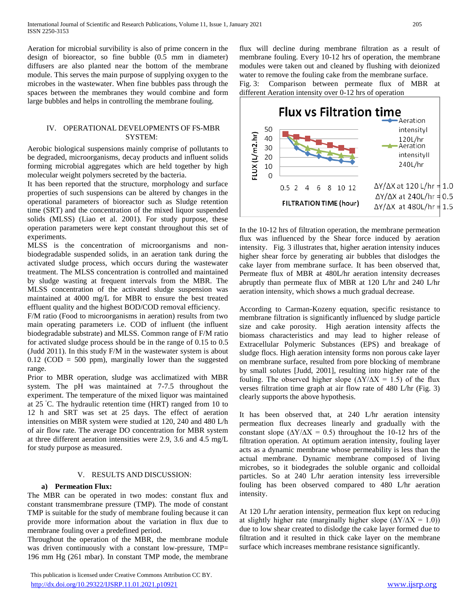Aeration for microbial survibility is also of prime concern in the design of bioreactor, so fine bubble (0.5 mm in diameter) diffusers are also planted near the bottom of the membrane module. This serves the main purpose of supplying oxygen to the microbes in the wastewater. When fine bubbles pass through the spaces between the membranes they would combine and form large bubbles and helps in controlling the membrane fouling.

# IV. OPERATIONAL DEVELOPMENTS OF FS-MBR SYSTEM:

Aerobic biological suspensions mainly comprise of pollutants to be degraded, microorganisms, decay products and influent solids forming microbial aggregates which are held together by high molecular weight polymers secreted by the bacteria.

It has been reported that the structure, morphology and surface properties of such suspensions can be altered by changes in the operational parameters of bioreactor such as Sludge retention time (SRT) and the concentration of the mixed liquor suspended solids (MLSS) (Liao et al. 2001). For study purpose, these operation parameters were kept constant throughout this set of experiments.

MLSS is the concentration of microorganisms and nonbiodegradable suspended solids, in an aeration tank during the activated sludge process, which occurs during the wastewater treatment. The MLSS concentration is controlled and maintained by sludge wasting at frequent intervals from the MBR. The MLSS concentration of the activated sludge suspension was maintained at 4000 mg/L for MBR to ensure the best treated effluent quality and the highest BOD/COD removal efficiency.

F/M ratio (Food to microorganisms in aeration) results from two main operating parameters i.e. COD of influent (the influent biodegradable substrate) and MLSS. Common range of F/M ratio for activated sludge process should be in the range of 0.15 to 0.5 (Judd 2011). In this study F/M in the wastewater system is about  $0.12$  (COD = 500 ppm), marginally lower than the suggested range.

Prior to MBR operation, sludge was acclimatized with MBR system. The pH was maintained at 7-7.5 throughout the experiment. The temperature of the mixed liquor was maintained at 25 ◦C. The hydraulic retention time (HRT) ranged from 10 to 12 h and SRT was set at 25 days. The effect of aeration intensities on MBR system were studied at 120, 240 and 480 L/h of air flow rate. The average DO concentration for MBR system at three different aeration intensities were 2.9, 3.6 and 4.5 mg/L for study purpose as measured.

# V. RESULTS AND DISCUSSION:

# **a) Permeation Flux:**

The MBR can be operated in two modes: constant flux and constant transmembrane pressure (TMP). The mode of constant TMP is suitable for the study of membrane fouling because it can provide more information about the variation in flux due to membrane fouling over a predefined period.

Throughout the operation of the MBR, the membrane module was driven continuously with a constant low-pressure, TMP= 196 mm Hg (261 mbar). In constant TMP mode, the membrane

 This publication is licensed under Creative Commons Attribution CC BY. <http://dx.doi.org/10.29322/IJSRP.11.01.2021.p10921> [www.ijsrp.org](http://ijsrp.org/)

flux will decline during membrane filtration as a result of membrane fouling. Every 10-12 hrs of operation, the membrane modules were taken out and cleaned by flushing with deionized water to remove the fouling cake from the membrane surface.

Fig. 3: Comparison between permeate flux of MBR at different Aeration intensity over 0-12 hrs of operation



In the 10-12 hrs of filtration operation, the membrane permeation flux was influenced by the Shear force induced by aeration intensity. Fig. 3 illustrates that, higher aeration intensity induces higher shear force by generating air bubbles that dislodges the cake layer from membrane surface. It has been observed that, Permeate flux of MBR at 480L/hr aeration intensity decreases abruptly than permeate flux of MBR at 120 L/hr and 240 L/hr aeration intensity, which shows a much gradual decrease.

According to Carman-Kozeny equation, specific resistance to membrane filtration is significantly influenced by sludge particle size and cake porosity. High aeration intensity affects the biomass characteristics and may lead to higher release of Extracellular Polymeric Substances (EPS) and breakage of sludge flocs. High aeration intensity forms non porous cake layer on membrane surface, resulted from pore blocking of membrane by small solutes [Judd, 2001], resulting into higher rate of the fouling. The observed higher slope ( $\Delta Y/\Delta X = 1.5$ ) of the flux verses filtration time graph at air flow rate of 480 L/hr (Fig. 3) clearly supports the above hypothesis.

It has been observed that, at 240 L/hr aeration intensity permeation flux decreases linearly and gradually with the constant slope ( $\Delta Y/\Delta X = 0.5$ ) throughout the 10-12 hrs of the filtration operation. At optimum aeration intensity, fouling layer acts as a dynamic membrane whose permeability is less than the actual membrane. Dynamic membrane composed of living microbes, so it biodegrades the soluble organic and colloidal particles. So at 240 L/hr aeration intensity less irreversible fouling has been observed compared to 480 L/hr aeration intensity.

At 120 L/hr aeration intensity, permeation flux kept on reducing at slightly higher rate (marginally higher slope  $(\Delta Y/\Delta X = 1.0)$ ) due to low shear created to dislodge the cake layer formed due to filtration and it resulted in thick cake layer on the membrane surface which increases membrane resistance significantly.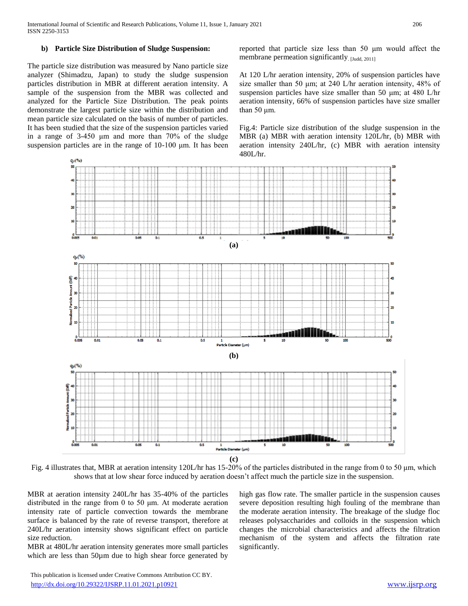## **b) Particle Size Distribution of Sludge Suspension:**

The particle size distribution was measured by Nano particle size analyzer (Shimadzu, Japan) to study the sludge suspension particles distribution in MBR at different aeration intensity. A sample of the suspension from the MBR was collected and analyzed for the Particle Size Distribution. The peak points demonstrate the largest particle size within the distribution and mean particle size calculated on the basis of number of particles. It has been studied that the size of the suspension particles varied in a range of 3-450 μm and more than 70% of the sludge suspension particles are in the range of 10-100 μm. It has been reported that particle size less than 50 μm would affect the membrane permeation significantly. [Judd, 2011]

At 120 L/hr aeration intensity, 20% of suspension particles have size smaller than 50 μm; at 240 L/hr aeration intensity, 48% of suspension particles have size smaller than 50 μm; at 480 L/hr aeration intensity, 66% of suspension particles have size smaller than 50 μm.

Fig.4: Particle size distribution of the sludge suspension in the MBR (a) MBR with aeration intensity 120L/hr, (b) MBR with aeration intensity 240L/hr, (c) MBR with aeration intensity 480L/hr.



Fig. 4 illustrates that, MBR at aeration intensity 120L/hr has 15-20% of the particles distributed in the range from 0 to 50 μm, which shows that at low shear force induced by aeration doesn't affect much the particle size in the suspension.

MBR at aeration intensity 240L/hr has 35-40% of the particles distributed in the range from 0 to 50 μm. At moderate aeration intensity rate of particle convection towards the membrane surface is balanced by the rate of reverse transport, therefore at 240L/hr aeration intensity shows significant effect on particle size reduction.

MBR at 480L/hr aeration intensity generates more small particles which are less than 50 $\mu$ m due to high shear force generated by

high gas flow rate. The smaller particle in the suspension causes severe deposition resulting high fouling of the membrane than the moderate aeration intensity. The breakage of the sludge floc releases polysaccharides and colloids in the suspension which changes the microbial characteristics and affects the filtration mechanism of the system and affects the filtration rate significantly.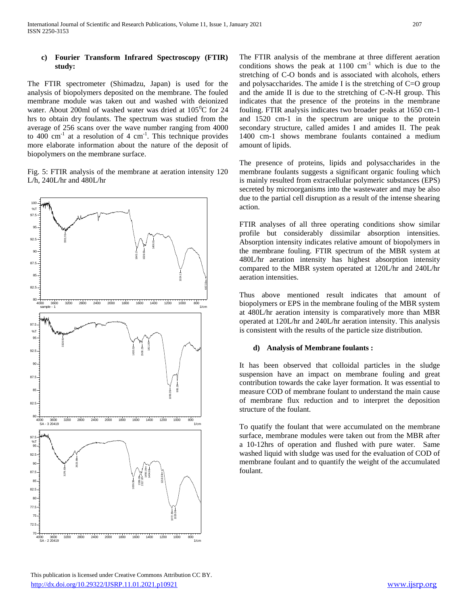# **c) Fourier Transform Infrared Spectroscopy (FTIR) study:**

The FTIR spectrometer (Shimadzu, Japan) is used for the analysis of biopolymers deposited on the membrane. The fouled membrane module was taken out and washed with deionized water. About 200ml of washed water was dried at  $105^{\circ}$ C for 24 hrs to obtain dry foulants. The spectrum was studied from the average of 256 scans over the wave number ranging from 4000 to  $400 \text{ cm}^{-1}$  at a resolution of  $4 \text{ cm}^{-1}$ . This technique provides more elaborate information about the nature of the deposit of biopolymers on the membrane surface.

Fig. 5: FTIR analysis of the membrane at aeration intensity 120 L/h, 240L/hr and 480L/hr



The FTIR analysis of the membrane at three different aeration conditions shows the peak at  $1100 \text{ cm}^{-1}$  which is due to the stretching of C-O bonds and is associated with alcohols, ethers and polysaccharides. The amide I is the stretching of C=O group and the amide II is due to the stretching of C-N-H group. This indicates that the presence of the proteins in the membrane fouling. FTIR analysis indicates two broader peaks at 1650 cm-1 and 1520 cm-1 in the spectrum are unique to the protein secondary structure, called amides I and amides II. The peak 1400 cm-1 shows membrane foulants contained a medium amount of lipids.

The presence of proteins, lipids and polysaccharides in the membrane foulants suggests a significant organic fouling which is mainly resulted from extracellular polymeric substances (EPS) secreted by microorganisms into the wastewater and may be also due to the partial cell disruption as a result of the intense shearing action.

FTIR analyses of all three operating conditions show similar profile but considerably dissimilar absorption intensities. Absorption intensity indicates relative amount of biopolymers in the membrane fouling. FTIR spectrum of the MBR system at 480L/hr aeration intensity has highest absorption intensity compared to the MBR system operated at 120L/hr and 240L/hr aeration intensities.

Thus above mentioned result indicates that amount of biopolymers or EPS in the membrane fouling of the MBR system at 480L/hr aeration intensity is comparatively more than MBR operated at 120L/hr and 240L/hr aeration intensity. This analysis is consistent with the results of the particle size distribution.

#### **d) Analysis of Membrane foulants :**

It has been observed that colloidal particles in the sludge suspension have an impact on membrane fouling and great contribution towards the cake layer formation. It was essential to measure COD of membrane foulant to understand the main cause of membrane flux reduction and to interpret the deposition structure of the foulant.

To quatify the foulant that were accumulated on the membrane surface, membrane modules were taken out from the MBR after a 10-12hrs of operation and flushed with pure water. Same washed liquid with sludge was used for the evaluation of COD of membrane foulant and to quantify the weight of the accumulated foulant.

 This publication is licensed under Creative Commons Attribution CC BY. <http://dx.doi.org/10.29322/IJSRP.11.01.2021.p10921> [www.ijsrp.org](http://ijsrp.org/)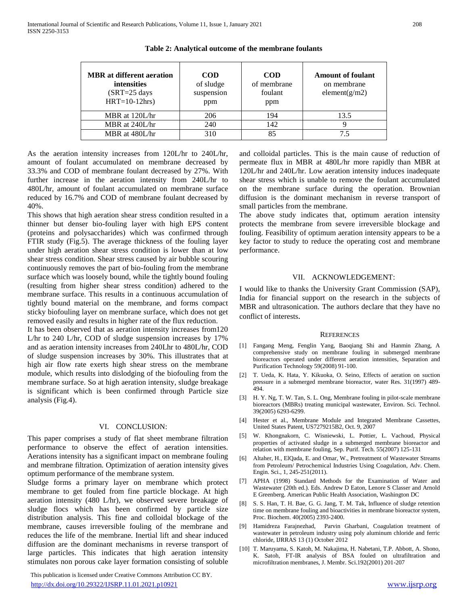| <b>MBR</b> at different aeration<br><i>intensities</i><br>$(SRT=25 \text{ days})$<br>$HRT=10-12hrs$ | <b>COD</b><br>of sludge<br>suspension<br>ppm | <b>COD</b><br>of membrane<br>foulant<br>ppm | <b>Amount of foulant</b><br>on membrane<br>element $(g/m2)$ |
|-----------------------------------------------------------------------------------------------------|----------------------------------------------|---------------------------------------------|-------------------------------------------------------------|
| MBR at $120L/hr$                                                                                    | 206                                          | 194                                         | 13.5                                                        |
| MBR at 240L/hr                                                                                      | 240                                          | 142                                         |                                                             |
| MBR at 480L/hr                                                                                      | 310                                          | 85                                          |                                                             |

**Table 2: Analytical outcome of the membrane foulants**

As the aeration intensity increases from 120L/hr to 240L/hr, amount of foulant accumulated on membrane decreased by 33.3% and COD of membrane foulant decreased by 27%. With further increase in the aeration intensity from 240L/hr to 480L/hr, amount of foulant accumulated on membrane surface reduced by 16.7% and COD of membrane foulant decreased by 40%.

This shows that high aeration shear stress condition resulted in a thinner but denser bio-fouling layer with high EPS content (proteins and polysaccharides) which was confirmed through FTIR study (Fig.5). The average thickness of the fouling layer under high aeration shear stress condition is lower than at low shear stress condition. Shear stress caused by air bubble scouring continuously removes the part of bio-fouling from the membrane surface which was loosely bound, while the tightly bound fouling (resulting from higher shear stress condition) adhered to the membrane surface. This results in a continuous accumulation of tightly bound material on the membrane, and forms compact sticky biofouling layer on membrane surface, which does not get removed easily and results in higher rate of the flux reduction.

It has been observed that as aeration intensity increases from120 L/hr to 240 L/hr, COD of sludge suspension increases by 17% and as aeration intensity increases from 240Lhr to 480L/hr, COD of sludge suspension increases by 30%. This illustrates that at high air flow rate exerts high shear stress on the membrane module, which results into dislodging of the biofouling from the membrane surface. So at high aeration intensity, sludge breakage is significant which is been confirmed through Particle size analysis (Fig.4).

#### VI. CONCLUSION:

This paper comprises a study of flat sheet membrane filtration performance to observe the effect of aeration intensities. Aerations intensity has a significant impact on membrane fouling and membrane filtration. Optimization of aeration intensity gives optimum performance of the membrane system.

Sludge forms a primary layer on membrane which protect membrane to get fouled from fine particle blockage. At high aeration intensity (480 L/hr), we observed severe breakage of sludge flocs which has been confirmed by particle size distribution analysis. This fine and colloidal blockage of the membrane, causes irreversible fouling of the membrane and reduces the life of the membrane. Inertial lift and shear induced diffusion are the dominant mechanisms in reverse transport of large particles. This indicates that high aeration intensity stimulates non porous cake layer formation consisting of soluble

 This publication is licensed under Creative Commons Attribution CC BY. <http://dx.doi.org/10.29322/IJSRP.11.01.2021.p10921> [www.ijsrp.org](http://ijsrp.org/)

and colloidal particles. This is the main cause of reduction of permeate flux in MBR at 480L/hr more rapidly than MBR at 120L/hr and 240L/hr. Low aeration intensity induces inadequate shear stress which is unable to remove the foulant accumulated on the membrane surface during the operation. Brownian diffusion is the dominant mechanism in reverse transport of small particles from the membrane.

The above study indicates that, optimum aeration intensity protects the membrane from severe irreversible blockage and fouling. Feasibility of optimum aeration intensity appears to be a key factor to study to reduce the operating cost and membrane performance.

### VII. ACKNOWLEDGEMENT:

I would like to thanks the University Grant Commission (SAP), India for financial support on the research in the subjects of MBR and ultrasonication. The authors declare that they have no conflict of interests.

#### **REFERENCES**

- [1] Fangang Meng, Fenglin Yang, Baoqiang Shi and Hanmin Zhang, A comprehensive study on membrane fouling in submerged membrane bioreactors operated under different aeration intensities, Separation and Purification Technology 59(2008) 91-100.
- [2] T. Ueda, K. Hata, Y. Kikuoka, O. Seino, Effects of aeration on suction pressure in a submerged membrane bioreactor, water Res. 31(1997) 489- 494.
- [3] H. Y. Ng, T. W. Tan, S. L. Ong, Membrane fouling in pilot-scale membrane bioreactors (MBRs) treating municipal wastewater, Environ. Sci. Technol. 39(2005) 6293-6299.
- [4] Hester et al., Membrane Module and Integrated Membrane Cassettes, United States Patent, US7279215B2, Oct. 9, 2007
- [5] W. Khongnakorn, C. Wisniewski, L. Pottier, L. Vachoud, Physical properties of activated sludge in a submerged membrane bioreactor and relation with membrane fouling, Sep. Purif. Tech. 55(2007) 125-131
- [6] Altaher, H., ElQada, E. and Omar, W., Pretreatment of Wastewater Streams from Petroleum/ Petrochemical Industries Using Coagulation, Adv. Chem. Engin. Sci., 1, 245-251(2011).
- [7] APHA (1998) Standard Methods for the Examination of Water and Wastewater (20th ed.). Eds. Andrew D Eaton, Lenore S Classer and Arnold E Greenberg. American Public Health Association, Washington DC
- [8] S. S. Han, T. H. Bae, G. G. Jang, T. M. Tak, Influence of sludge retention time on membrane fouling and bioactivities in membrane bioreactor system, Proc. Biochem. 40(2005) 2393-2400.
- [9] Hamidreza Farajnezhad, Parvin Gharbani, Coagulation treatment of wastewater in petroleum industry using poly aluminum chloride and ferric chloride, IJRRAS 13 (1) October 2012
- [10] T. Maruyama, S. Katoh, M. Nakajima, H. Nabetani, T.P. Abbott, A. Shono, K. Satoh, FT-IR analysis of BSA fouled on ultrafiltration and microfiltration membranes, J. Membr. Sci.192(2001) 201-207